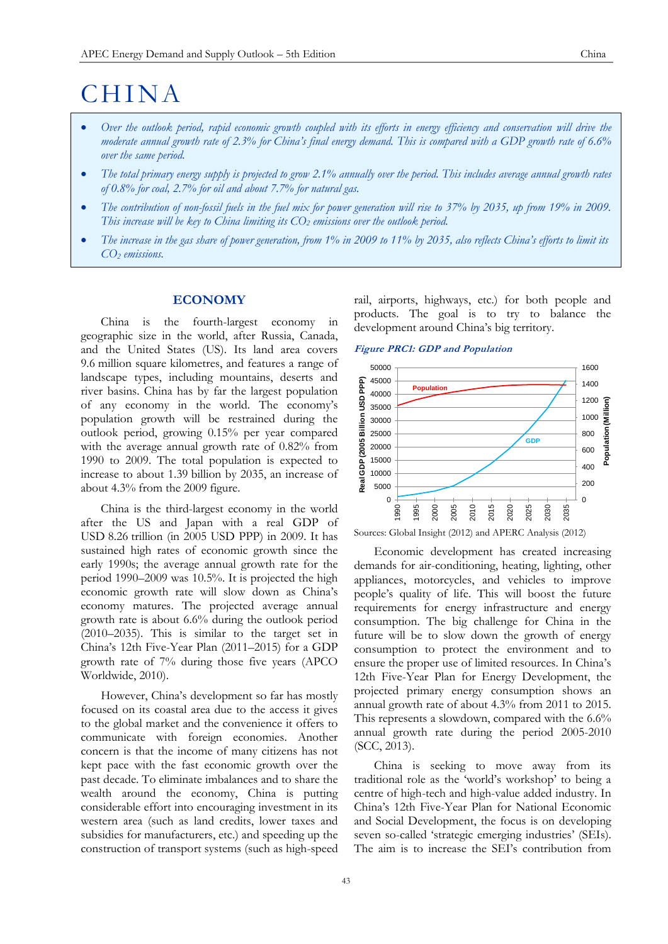# **CHINA**

- *Over the outlook period, rapid economic growth coupled with its efforts in energy efficiency and conservation will drive the moderate annual growth rate of 2.3% for China's final energy demand. This is compared with a GDP growth rate of 6.6% over the same period.*
- *The total primary energy supply is projected to grow 2.1% annually over the period. This includes average annual growth rates of 0.8% for coal, 2.7% for oil and about 7.7% for natural gas.*
- *The contribution of non-fossil fuels in the fuel mix for power generation will rise to 37% by 2035, up from 19% in 2009. This increase will be key to China limiting its CO<sup>2</sup> emissions over the outlook period.*
- *The increase in the gas share of power generation, from 1% in 2009 to 11% by 2035, also reflects China's efforts to limit its CO<sup>2</sup> emissions.*

# **ECONOMY**

China is the fourth-largest economy in geographic size in the world, after Russia, Canada, and the United States (US). Its land area covers 9.6 million square kilometres, and features a range of landscape types, including mountains, deserts and river basins. China has by far the largest population of any economy in the world. The economy's population growth will be restrained during the outlook period, growing 0.15% per year compared with the average annual growth rate of 0.82% from 1990 to 2009. The total population is expected to increase to about 1.39 billion by 2035, an increase of about 4.3% from the 2009 figure.

China is the third-largest economy in the world after the US and [Japan](http://en.wikipedia.org/wiki/Economy_of_Japan) with a real [GDP](http://en.wikipedia.org/wiki/GDP) of [USD](http://en.wikipedia.org/wiki/United_States_dollar) 8.26 trillion (in 2005 USD PPP) in 2009. It has sustained high rates of economic growth since the early 1990s; the average annual growth rate for the period 1990–2009 was 10.5%. It is projected the high economic growth rate will slow down as China's economy matures. The projected average annual growth rate is about 6.6% during the outlook period (2010–2035). This is similar to the target set in China's 12th Five-Year Plan (2011–2015) for a GDP growth rate of 7% during those five years (APCO Worldwide, 2010).

However, China's development so far has mostly focused on its coastal area due to the access it gives to the global market and the convenience it offers to communicate with foreign economies. Another concern is that the income of many citizens has not kept pace with the fast economic growth over the past decade. To eliminate imbalances and to share the wealth around the economy, China is putting considerable effort into encouraging investment in its western area (such as land credits, lower taxes and subsidies for manufacturers, etc.) and speeding up the construction of transport systems (such as high-speed

rail, airports, highways, etc.) for both people and products. The goal is to try to balance the development around China's big territory.

# **Figure PRC1: GDP and Population**



Sources: Global Insight (2012) and APERC Analysis (2012)

Economic development has created increasing demands for air-conditioning, heating, lighting, other appliances, motorcycles, and vehicles to improve people's quality of life. This will boost the future requirements for energy infrastructure and energy consumption. The big challenge for China in the future will be to slow down the growth of energy consumption to protect the environment and to ensure the proper use of limited resources. In China's 12th Five-Year Plan for Energy Development, the projected primary energy consumption shows an annual growth rate of about 4.3% from 2011 to 2015. This represents a slowdown, compared with the 6.6% annual growth rate during the period 2005-2010 (SCC, 2013).

China is seeking to move away from its traditional role as the 'world's workshop' to being a centre of high-tech and high-value added industry. In China's 12th Five-Year Plan for National Economic and Social Development, the focus is on developing seven so-called 'strategic emerging industries' (SEIs). The aim is to increase the SEI's contribution from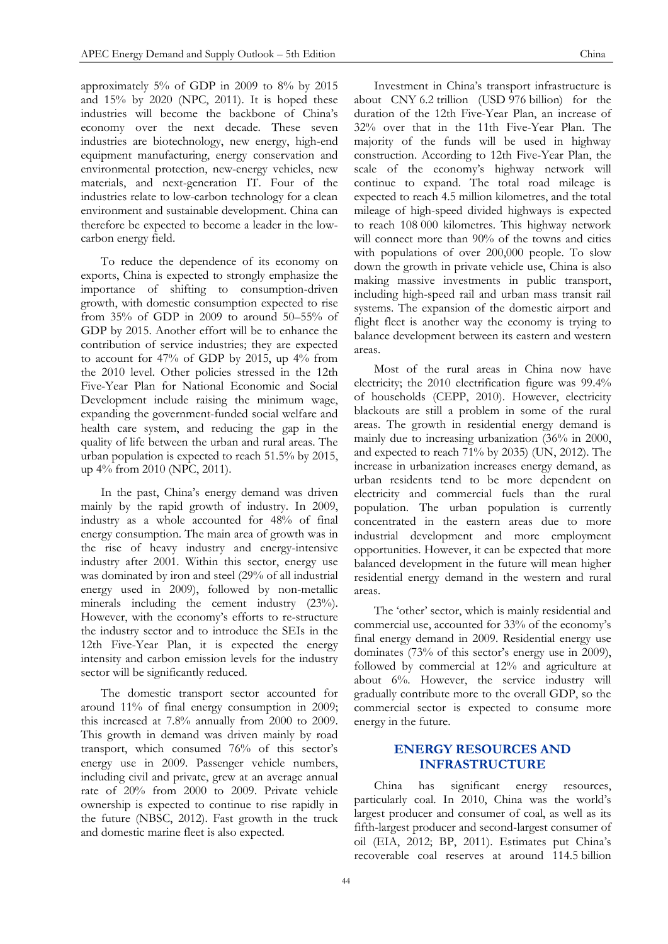approximately 5% of GDP in 2009 to 8% by 2015 and 15% by 2020 (NPC, 2011). It is hoped these industries will become the backbone of China's economy over the next decade. These seven industries are biotechnology, new energy, high-end equipment manufacturing, energy conservation and environmental protection, new-energy vehicles, new materials, and next-generation IT. Four of the industries relate to low-carbon technology for a clean environment and sustainable development. China can therefore be expected to become a leader in the lowcarbon energy field.

To reduce the dependence of its economy on exports, China is expected to strongly emphasize the importance of shifting to consumption-driven growth, with domestic consumption expected to rise from 35% of GDP in 2009 to around 50–55% of GDP by 2015. Another effort will be to enhance the contribution of service industries; they are expected to account for 47% of GDP by 2015, up 4% from the 2010 level. Other policies stressed in the 12th Five-Year Plan for National Economic and Social Development include raising the minimum wage, expanding the government-funded social welfare and health care system, and reducing the gap in the quality of life between the urban and rural areas. The urban population is expected to reach 51.5% by 2015, up 4% from 2010 (NPC, 2011).

In the past, China's energy demand was driven mainly by the rapid growth of industry. In 2009, industry as a whole accounted for 48% of final energy consumption. The main area of growth was in the rise of heavy industry and energy-intensive industry after 2001. Within this sector, energy use was dominated by iron and steel (29% of all industrial energy used in 2009), followed by non-metallic minerals including the cement industry (23%). However, with the economy's efforts to re-structure the industry sector and to introduce the SEIs in the 12th Five-Year Plan, it is expected the energy intensity and carbon emission levels for the industry sector will be significantly reduced.

The domestic transport sector accounted for around 11% of final energy consumption in 2009; this increased at 7.8% annually from 2000 to 2009. This growth in demand was driven mainly by road transport, which consumed 76% of this sector's energy use in 2009. Passenger vehicle numbers, including civil and private, grew at an average annual rate of 20% from 2000 to 2009. Private vehicle ownership is expected to continue to rise rapidly in the future (NBSC, 2012). Fast growth in the truck and domestic marine fleet is also expected.

Investment in China's transport infrastructure is about CNY 6.2 trillion (USD 976 billion) for the duration of the 12th Five-Year Plan, an increase of 32% over that in the 11th Five-Year Plan. The majority of the funds will be used in highway construction. According to 12th Five-Year Plan, the scale of the economy's highway network will continue to expand. The total road mileage is expected to reach 4.5 million kilometres, and the total mileage of high-speed divided highways is expected to reach 108 000 kilometres. This highway network will connect more than 90% of the towns and cities with populations of over 200,000 people. To slow down the growth in private vehicle use, China is also making massive investments in public transport, including high-speed rail and urban mass transit rail systems. The expansion of the domestic airport and flight fleet is another way the economy is trying to balance development between its eastern and western areas.

Most of the rural areas in China now have electricity; the 2010 electrification figure was 99.4% of households (CEPP, 2010). However, electricity blackouts are still a problem in some of the rural areas. The growth in residential energy demand is mainly due to increasing urbanization (36% in 2000, and expected to reach 71% by 2035) (UN, 2012). The increase in urbanization increases energy demand, as urban residents tend to be more dependent on electricity and commercial fuels than the rural population. The urban population is currently concentrated in the eastern areas due to more industrial development and more employment opportunities. However, it can be expected that more balanced development in the future will mean higher residential energy demand in the western and rural areas.

The 'other' sector, which is mainly residential and commercial use, accounted for 33% of the economy's final energy demand in 2009. Residential energy use dominates (73% of this sector's energy use in 2009), followed by commercial at 12% and agriculture at about 6%. However, the service industry will gradually contribute more to the overall GDP, so the commercial sector is expected to consume more energy in the future.

# **ENERGY RESOURCES AND INFRASTRUCTURE**

China has significant energy resources, particularly coal. In 2010, China was the world's largest producer and consumer of coal, as well as its fifth-largest producer and second-largest consumer of oil (EIA, 2012; BP, 2011). Estimates put China's recoverable coal reserves at around 114.5 billion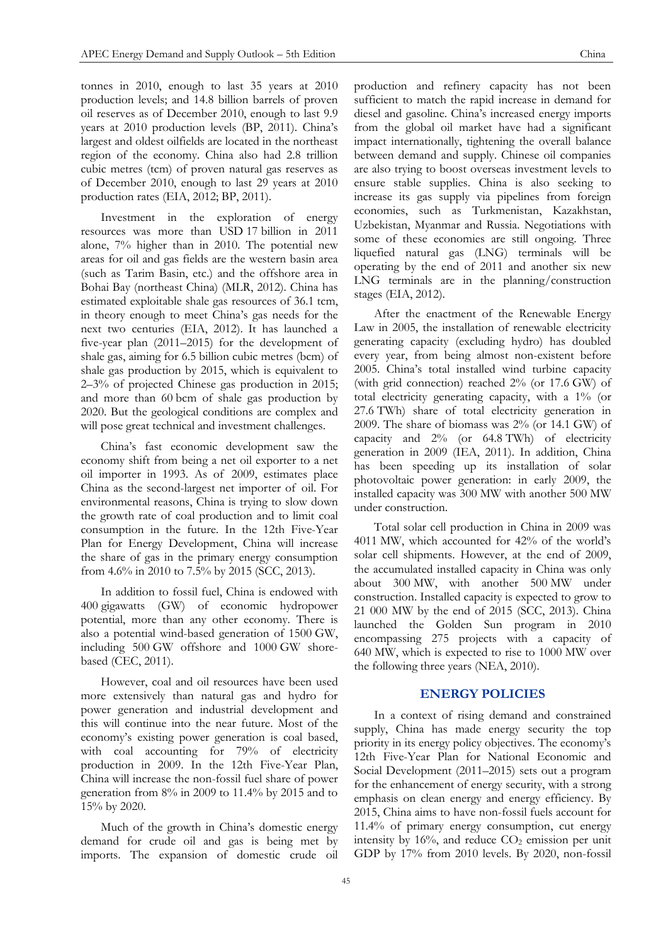oil reserves as of December 2010, enough to last 9.9 years at 2010 production levels (BP, 2011). China's largest and oldest oilfields are located in the northeast region of the economy. China also had 2.8 trillion cubic metres (tcm) of proven natural gas reserves as of December 2010, enough to last 29 years at 2010 production rates (EIA, 2012; BP, 2011).

Investment in the exploration of energy resources was more than USD 17 billion in 2011 alone, 7% higher than in 2010. The potential new areas for oil and gas fields are the western basin area (such as Tarim Basin, etc.) and the offshore area in Bohai Bay (northeast China) (MLR, 2012). China has estimated exploitable shale gas resources of 36.1 tcm, in theory enough to meet China's gas needs for the next two centuries (EIA, 2012). It has launched a five-year plan (2011–2015) for the development of shale gas, aiming for 6.5 billion cubic metres (bcm) of shale gas production by 2015, which is equivalent to 2–3% of projected Chinese gas production in 2015; and more than 60 bcm of shale gas production by 2020. But the geological conditions are complex and will pose great technical and investment challenges.

China's fast economic development saw the economy shift from being a net oil exporter to a net oil importer in 1993. As of 2009, estimates place China as the second-largest net importer of oil. For environmental reasons, China is trying to slow down the growth rate of coal production and to limit coal consumption in the future. In the 12th Five-Year Plan for Energy Development, China will increase the share of gas in the primary energy consumption from 4.6% in 2010 to 7.5% by 2015 (SCC, 2013).

In addition to fossil fuel, China is endowed with 400 gigawatts (GW) of economic hydropower potential, more than any other economy. There is also a potential wind-based generation of 1500 GW, including 500 GW offshore and 1000 GW shorebased (CEC, 2011).

However, coal and oil resources have been used more extensively than natural gas and hydro for power generation and industrial development and this will continue into the near future. Most of the economy's existing power generation is coal based, with coal accounting for 79% of electricity production in 2009. In the 12th Five-Year Plan, China will increase the non-fossil fuel share of power generation from 8% in 2009 to 11.4% by 2015 and to 15% by 2020.

Much of the growth in China's domestic energy demand for crude oil and gas is being met by imports. The expansion of domestic crude oil production and refinery capacity has not been sufficient to match the rapid increase in demand for diesel and gasoline. China's increased energy imports from the global oil market have had a significant impact internationally, tightening the overall balance between demand and supply. Chinese oil companies are also trying to boost overseas investment levels to ensure stable supplies. China is also seeking to increase its gas supply via pipelines from foreign economies, such as Turkmenistan, Kazakhstan, Uzbekistan, Myanmar and Russia. Negotiations with some of these economies are still ongoing. Three liquefied natural gas (LNG) terminals will be operating by the end of 2011 and another six new LNG terminals are in the planning/construction stages (EIA, 2012).

After the enactment of the Renewable Energy Law in 2005, the installation of renewable electricity generating capacity (excluding hydro) has doubled every year, from being almost non-existent before 2005. China's total installed wind turbine capacity (with grid connection) reached 2% (or 17.6 GW) of total electricity generating capacity, with a 1% (or 27.6 TWh) share of total electricity generation in 2009. The share of biomass was 2% (or 14.1 GW) of capacity and 2% (or 64.8 TWh) of electricity generation in 2009 (IEA, 2011). In addition, China has been speeding up its installation of solar photovoltaic power generation: in early 2009, the installed capacity was 300 MW with another 500 MW under construction.

Total solar cell production in China in 2009 was 4011 MW, which accounted for 42% of the world's solar cell shipments. However, at the end of 2009, the accumulated installed capacity in China was only about 300 MW, with another 500 MW under construction. Installed capacity is expected to grow to 21 000 MW by the end of 2015 (SCC, 2013). China launched the Golden Sun program in 2010 encompassing 275 projects with a capacity of 640 MW, which is expected to rise to 1000 MW over the following three years (NEA, 2010).

# **ENERGY POLICIES**

In a context of rising demand and constrained supply, China has made energy security the top priority in its energy policy objectives. The economy's 12th Five-Year Plan for National Economic and Social Development (2011–2015) sets out a program for the enhancement of energy security, with a strong emphasis on clean energy and energy efficiency. By 2015, China aims to have non-fossil fuels account for 11.4% [of primary energy consumption,](http://news.xinhuanet.com/english2010/china/2011-03/05/c_13761876.htm) cut energy intensity by  $16\%$ , and reduce  $CO<sub>2</sub>$  emission per unit GDP by 17% from 2010 levels. By 2020, non-fossil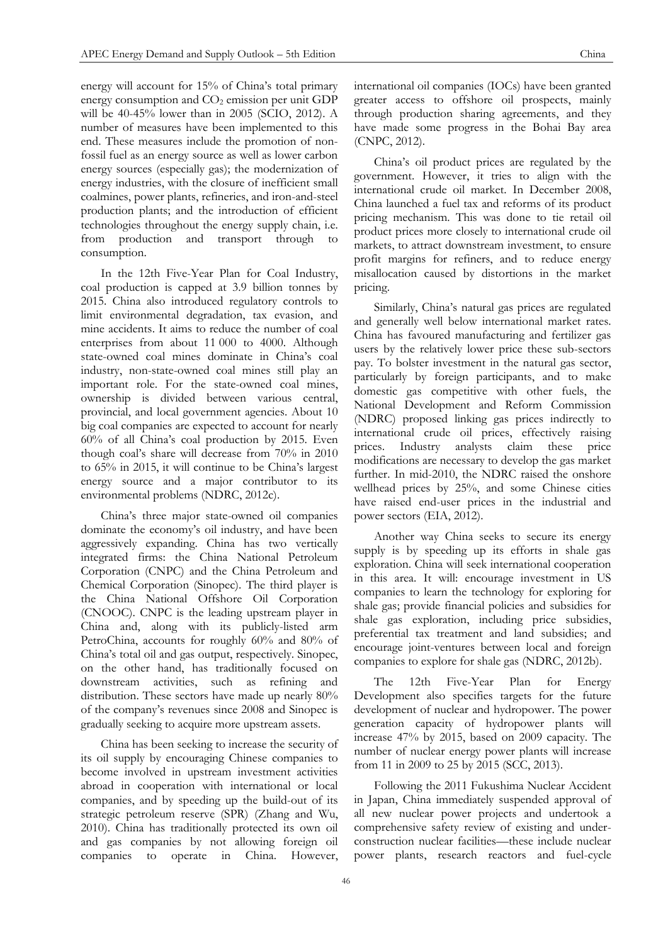energy will account for 15% of China's total primary energy consumption and  $CO<sub>2</sub>$  emission per unit GDP will be 40-45% lower than in 2005 (SCIO, 2012). A number of measures have been implemented to this end. These measures include the promotion of nonfossil fuel as an energy source as well as lower carbon energy sources (especially gas); the modernization of energy industries, with the closure of inefficient small coalmines, power plants, refineries, and iron-and-steel production plants; and the introduction of efficient technologies throughout the energy supply chain, i.e. from production and transport through consumption.

In the 12th Five-Year Plan for Coal Industry, coal production is capped at 3.9 billion tonnes by 2015. China also introduced regulatory controls to limit environmental degradation, tax evasion, and mine accidents. It aims to reduce the number of coal enterprises from about 11 000 to 4000. Although state-owned coal mines dominate in China's coal industry, non-state-owned coal mines still play an important role. For the state-owned coal mines, ownership is divided between various central, provincial, and local government agencies. About 10 big coal companies are expected to account for nearly 60% of all China's coal production by 2015. Even though coal's share will decrease from 70% in 2010 to 65% in 2015, it will continue to be China's largest energy source and a major contributor to its environmental problems (NDRC, 2012c).

China's three major state-owned oil companies dominate the economy's oil industry, and have been aggressively expanding. China has two vertically integrated firms: the China National Petroleum Corporation (CNPC) and the China Petroleum and Chemical Corporation (Sinopec). The third player is the China National Offshore Oil Corporation (CNOOC). CNPC is the leading upstream player in China and, along with its publicly-listed arm PetroChina, accounts for roughly 60% and 80% of China's total oil and gas output, respectively. Sinopec, on the other hand, has traditionally focused on downstream activities, such as refining and distribution. These sectors have made up nearly 80% of the company's revenues since 2008 and Sinopec is gradually seeking to acquire more upstream assets.

China has been seeking to increase the security of its oil supply by encouraging Chinese companies to become involved in upstream investment activities abroad in cooperation with international or local companies, and by speeding up the build-out of its strategic petroleum reserve (SPR) (Zhang and Wu, 2010). China has traditionally protected its own oil and gas companies by not allowing foreign oil companies to operate in China. However,

international oil companies (IOCs) have been granted greater access to offshore oil prospects, mainly through production sharing agreements, and they have made some progress in the Bohai Bay area (CNPC, 2012).

China's oil product prices are regulated by the government. However, it tries to align with the international crude oil market. In December 2008, China launched a fuel tax and reforms of its product pricing mechanism. This was done to tie retail oil product prices more closely to international crude oil markets, to attract downstream investment, to ensure profit margins for refiners, and to reduce energy misallocation caused by distortions in the market pricing.

Similarly, China's natural gas prices are regulated and generally well below international market rates. China has favoured manufacturing and fertilizer gas users by the relatively lower price these sub-sectors pay. To bolster investment in the natural gas sector, particularly by foreign participants, and to make domestic gas competitive with other fuels, the National Development and Reform Commission (NDRC) proposed linking gas prices indirectly to international crude oil prices, effectively raising prices. Industry analysts claim these price modifications are necessary to develop the gas market further. In mid-2010, the NDRC raised the onshore wellhead prices by 25%, and some Chinese cities have raised end-user prices in the industrial and power sectors (EIA, 2012).

Another way China seeks to secure its energy supply is by speeding up its efforts in shale gas exploration. China will seek international cooperation in this area. It will: encourage investment in US companies to learn the technology for exploring for shale gas; provide financial policies and subsidies for shale gas exploration, including price subsidies, preferential tax treatment and land subsidies; and encourage joint-ventures between local and foreign companies to explore for shale gas (NDRC, 2012b).

The 12th Five-Year Plan for Energy Development also specifies targets for the future development of nuclear and hydropower. The power generation capacity of hydropower plants will increase 47% by 2015, based on 2009 capacity. The number of nuclear energy power plants will increase from 11 in 2009 to 25 by 2015 (SCC, 2013).

Following the 2011 Fukushima Nuclear Accident in Japan, China immediately suspended approval of all new nuclear power projects and undertook a comprehensive safety review of existing and underconstruction nuclear facilities—these include nuclear power plants, research reactors and fuel-cycle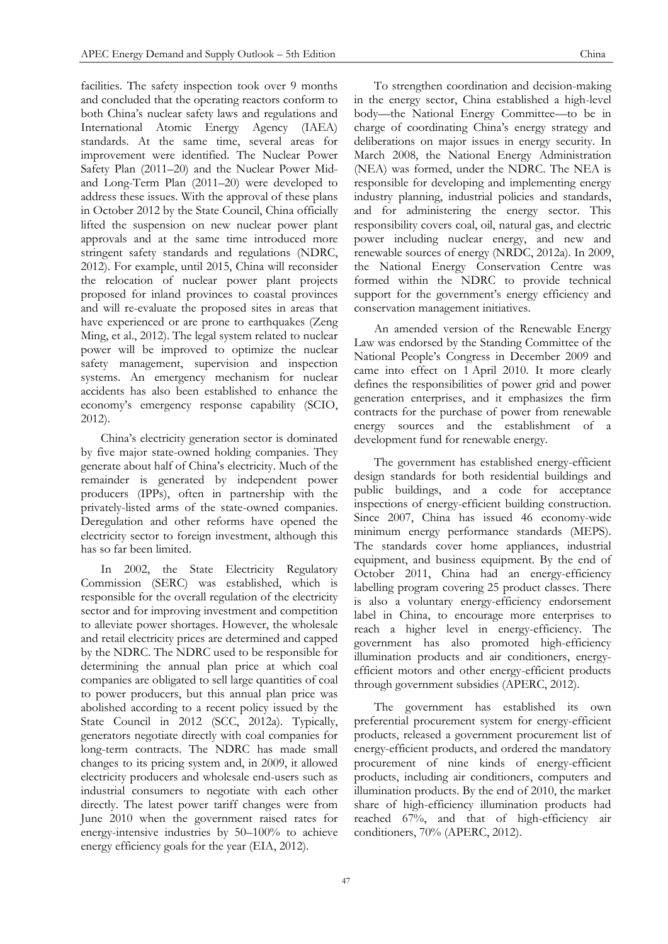facilities. The safety inspection took over 9 months and concluded that the operating reactors conform to both China's nuclear safety laws and regulations and International Atomic Energy Agency (IAEA) standards. At the same time, several areas for improvement were identified. The Nuclear Power Safety Plan (2011–20) and the Nuclear Power Midand Long-Term Plan (2011–20) were developed to address these issues. With the approval of these plans in October 2012 by the State Council, China officially lifted the suspension on new nuclear power plant approvals and at the same time introduced more stringent safety standards and regulations (NDRC, 2012). For example, until 2015, China will reconsider the relocation of nuclear power plant projects proposed for inland provinces to coastal provinces and will re-evaluate the proposed sites in areas that have experienced or are prone to earthquakes (Zeng Ming, et al., 2012). The legal system related to nuclear power will be improved to optimize the nuclear safety management, supervision and inspection systems. An emergency mechanism for nuclear accidents has also been established to enhance the economy's emergency response capability (SCIO, 2012).

China's electricity generation sector is dominated by five major state-owned holding companies. They generate about half of China's electricity. Much of the remainder is generated by independent power producers (IPPs), often in partnership with the privately-listed arms of the state-owned companies. Deregulation and other reforms have opened the electricity sector to foreign investment, although this has so far been limited.

In 2002, the State Electricity Regulatory Commission (SERC) was established, which is responsible for the overall regulation of the electricity sector and for improving investment and competition to alleviate power shortages. However, the wholesale and retail electricity prices are determined and capped by the NDRC. The NDRC used to be responsible for determining the annual plan price at which coal companies are obligated to sell large quantities of coal to power producers, but this annual plan price was abolished according to a recent policy issued by the State Council in 2012 (SCC, 2012a). Typically, generators negotiate directly with coal companies for long-term contracts. The NDRC has made small changes to its pricing system and, in 2009, it allowed electricity producers and wholesale end-users such as industrial consumers to negotiate with each other directly. The latest power tariff changes were from June 2010 when the government raised rates for energy-intensive industries by 50–100% to achieve energy efficiency goals for the year (EIA, 2012).

To strengthen coordination and decision-making in the energy sector, China established a high-level body—the National Energy Committee—to be in charge of coordinating China's energy strategy and deliberations on major issues in energy security. In March 2008, the National Energy Administration (NEA) was formed, under the NDRC. The NEA is responsible for developing and implementing energy industry planning, industrial policies and standards, and for administering the energy sector. This responsibility covers coal, oil, natural gas, and electric power including nuclear energy, and new and renewable sources of energy (NRDC, 2012a). In 2009, the National Energy Conservation Centre was formed within the NDRC to provide technical support for the government's energy efficiency and conservation management initiatives.

An amended version of the Renewable Energy Law was endorsed by the Standing Committee of the National People's Congress in December 2009 and came into effect on 1 April 2010. It more clearly defines the responsibilities of power grid and power generation enterprises, and it emphasizes the firm contracts for the purchase of power from renewable energy sources and the establishment of a development fund for renewable energy.

The government has established energy-efficient design standards for both residential buildings and public buildings, and a code for acceptance inspections of energy-efficient building construction. Since 2007, China has issued 46 economy-wide minimum energy performance standards (MEPS). The standards cover home appliances, industrial equipment, and business equipment. By the end of October 2011, China had an energy-efficiency labelling program covering 25 product classes. There is also a voluntary energy-efficiency endorsement label in China, to encourage more enterprises to reach a higher level in energy-efficiency. The government has also promoted high-efficiency illumination products and air conditioners, energyefficient motors and other energy-efficient products through government subsidies (APERC, 2012).

The government has established its own preferential procurement system for energy-efficient products, released a government procurement list of energy-efficient products, and ordered the mandatory procurement of nine kinds of energy-efficient products, including air conditioners, computers and illumination products. By the end of 2010, the market share of high-efficiency illumination products had reached 67%, and that of high-efficiency air conditioners, 70% (APERC, 2012).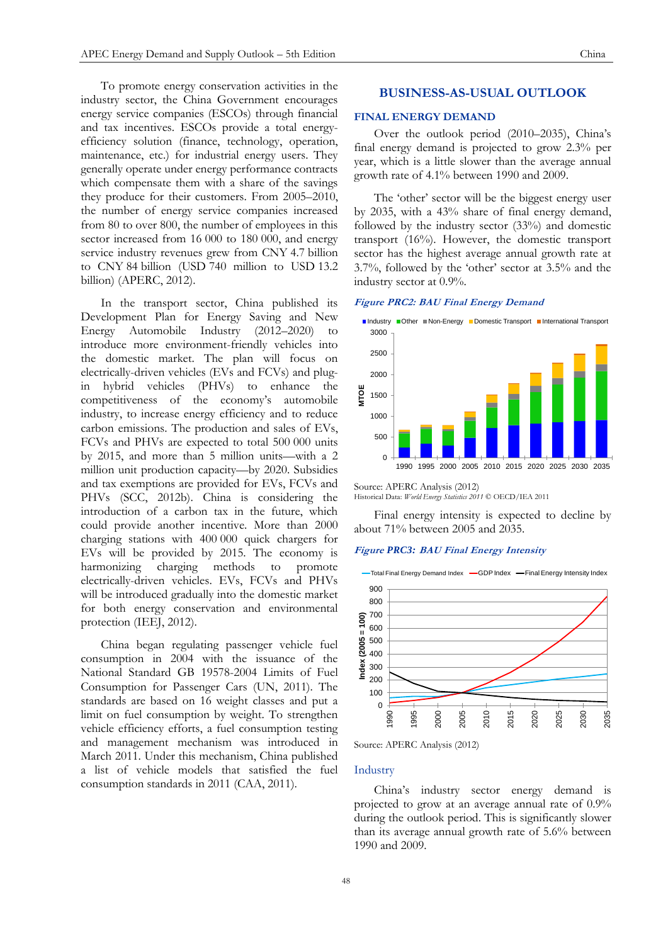To promote energy conservation activities in the industry sector, the China Government encourages energy service companies (ESCOs) through financial and tax incentives. ESCOs provide a total energyefficiency solution (finance, technology, operation, maintenance, etc.) for industrial energy users. They generally operate under energy performance contracts which compensate them with a share of the savings they produce for their customers. From 2005–2010,

the number of energy service companies increased from 80 to over 800, the number of employees in this sector increased from 16 000 to 180 000, and energy service industry revenues grew from CNY 4.7 billion to CNY 84 billion (USD 740 million to USD 13.2 billion) (APERC, 2012).

In the transport sector, China published its Development Plan for Energy Saving and New Energy Automobile Industry (2012–2020) to introduce more environment-friendly vehicles into the domestic market. The plan will focus on electrically-driven vehicles (EVs and FCVs) and plugin hybrid vehicles (PHVs) to enhance the competitiveness of the economy's automobile industry, to increase energy efficiency and to reduce carbon emissions. The production and sales of EVs, FCVs and PHVs are expected to total 500 000 units by 2015, and more than 5 million units—with a 2 million unit production capacity—by 2020. Subsidies and tax exemptions are provided for EVs, FCVs and PHVs (SCC, 2012b). China is considering the introduction of a carbon tax in the future, which could provide another incentive. More than 2000 charging stations with 400 000 quick chargers for EVs will be provided by 2015. The economy is harmonizing charging methods to promote electrically-driven vehicles. EVs, FCVs and PHVs will be introduced gradually into the domestic market for both energy conservation and environmental protection (IEEJ, 2012).

China began regulating passenger vehicle fuel consumption in 2004 with the issuance of the National Standard GB 19578-2004 Limits of Fuel Consumption for Passenger Cars (UN, 2011). The standards are based on 16 weight classes and put a limit on fuel consumption by weight. To strengthen vehicle efficiency efforts, a fuel consumption testing and management mechanism was introduced in March 2011. Under this mechanism, China published a list of vehicle models that satisfied the fuel consumption standards in 2011 (CAA, 2011).

# **BUSINESS-AS-USUAL OUTLOOK**

# **FINAL ENERGY DEMAND**

Over the outlook period (2010–2035), China's final energy demand is projected to grow 2.3% per year, which is a little slower than the average annual growth rate of 4.1% between 1990 and 2009.

The 'other' sector will be the biggest energy user by 2035, with a 43% share of final energy demand, followed by the industry sector (33%) and domestic transport (16%). However, the domestic transport sector has the highest average annual growth rate at 3.7%, followed by the 'other' sector at 3.5% and the industry sector at 0.9%.

# **Figure PRC2: BAU Final Energy Demand**



Source: APERC Analysis (2012) Historical Data: *World Energy Statistics 2011* © OECD/IEA 2011

Final energy intensity is expected to decline by about 71% between 2005 and 2035.

#### **Figure** *PRC3:* **BAU Final Energy Intensity**



Source: APERC Analysis (2012)

#### Industry

China's industry sector energy demand is projected to grow at an average annual rate of 0.9% during the outlook period. This is significantly slower than its average annual growth rate of 5.6% between 1990 and 2009.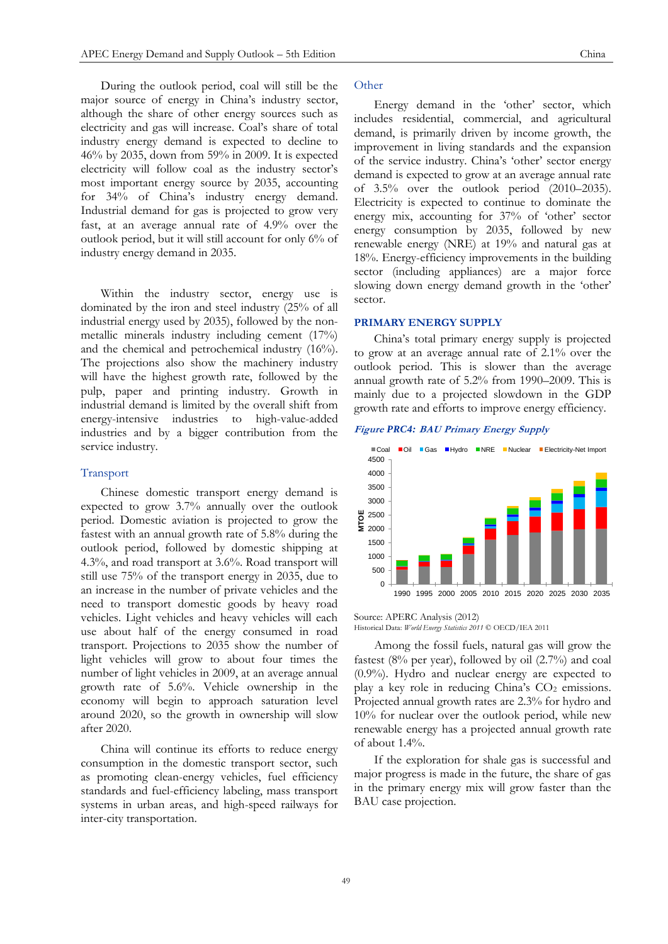During the outlook period, coal will still be the major source of energy in China's industry sector, although the share of other energy sources such as electricity and gas will increase. Coal's share of total industry energy demand is expected to decline to 46% by 2035, down from 59% in 2009. It is expected electricity will follow coal as the industry sector's most important energy source by 2035, accounting for 34% of China's industry energy demand. Industrial demand for gas is projected to grow very fast, at an average annual rate of 4.9% over the outlook period, but it will still account for only 6% of industry energy demand in 2035.

Within the industry sector, energy use is dominated by the iron and steel industry (25% of all industrial energy used by 2035), followed by the nonmetallic minerals industry including cement (17%) and the chemical and petrochemical industry (16%). The projections also show the machinery industry will have the highest growth rate, followed by the pulp, paper and printing industry. Growth in industrial demand is limited by the overall shift from energy-intensive industries to high-value-added industries and by a bigger contribution from the service industry.

#### Transport

Chinese domestic transport energy demand is expected to grow 3.7% annually over the outlook period. Domestic aviation is projected to grow the fastest with an annual growth rate of 5.8% during the outlook period, followed by domestic shipping at 4.3%, and road transport at 3.6%. Road transport will still use 75% of the transport energy in 2035, due to an increase in the number of private vehicles and the need to transport domestic goods by heavy road vehicles. Light vehicles and heavy vehicles will each use about half of the energy consumed in road transport. Projections to 2035 show the number of light vehicles will grow to about four times the number of light vehicles in 2009, at an average annual growth rate of 5.6%. Vehicle ownership in the economy will begin to approach saturation level around 2020, so the growth in ownership will slow after 2020.

China will continue its efforts to reduce energy consumption in the domestic transport sector, such as promoting clean-energy vehicles, fuel efficiency standards and fuel-efficiency labeling, mass transport systems in urban areas, and high-speed railways for inter-city transportation.

## **Other**

Energy demand in the 'other' sector, which includes residential, commercial, and agricultural demand, is primarily driven by income growth, the improvement in living standards and the expansion of the service industry. China's 'other' sector energy demand is expected to grow at an average annual rate of 3.5% over the outlook period (2010–2035). Electricity is expected to continue to dominate the energy mix, accounting for 37% of 'other' sector energy consumption by 2035, followed by new renewable energy (NRE) at 19% and natural gas at 18%. Energy-efficiency improvements in the building sector (including appliances) are a major force slowing down energy demand growth in the 'other' sector.

## **PRIMARY ENERGY SUPPLY**

China's total primary energy supply is projected to grow at an average annual rate of 2.1% over the outlook period. This is slower than the average annual growth rate of 5.2% from 1990–2009. This is mainly due to a projected slowdown in the GDP growth rate and efforts to improve energy efficiency.

#### **Figure** *PRC4:* **BAU Primary Energy Supply**



Source: APERC Analysis (2012) Historical Data: *World Energy Statistics 2011* © OECD/IEA 2011

Among the fossil fuels, natural gas will grow the fastest  $(8\%$  per year), followed by oil  $(2.7\%)$  and coal (0.9%). Hydro and nuclear energy are expected to play a key role in reducing China's  $CO<sub>2</sub>$  emissions. Projected annual growth rates are 2.3% for hydro and 10% for nuclear over the outlook period, while new renewable energy has a projected annual growth rate of about 1.4%.

If the exploration for shale gas is successful and major progress is made in the future, the share of gas in the primary energy mix will grow faster than the BAU case projection.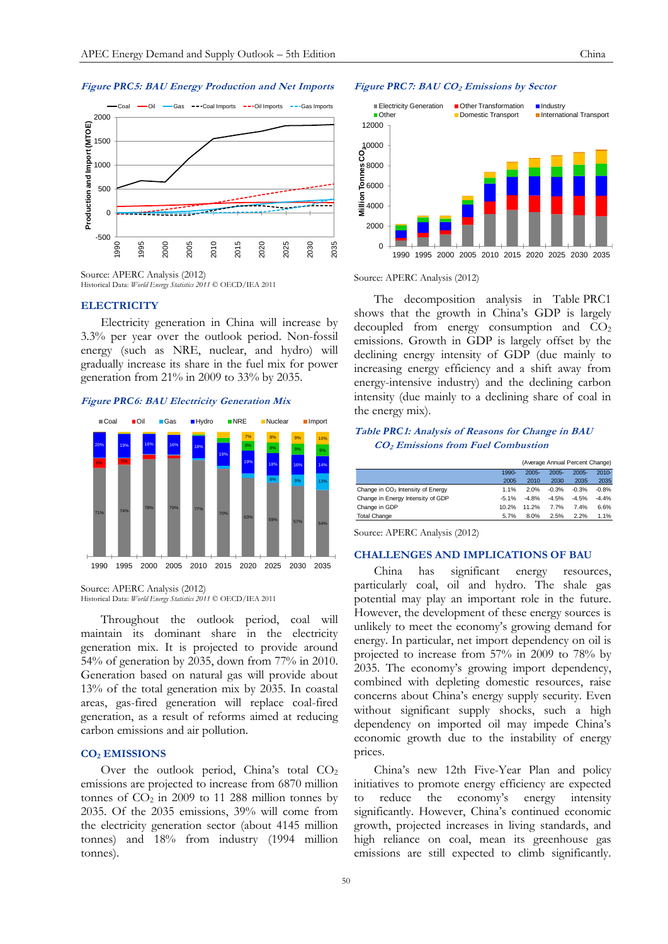

Source: APERC Analysis (2012) Historical Data: *World Energy Statistics 2011* © OECD/IEA 2011

# **ELECTRICITY**

Electricity generation in China will increase by 3.3% per year over the outlook period. Non-fossil energy (such as NRE, nuclear, and hydro) will gradually increase its share in the fuel mix for power generation from 21% in 2009 to 33% by 2035.

## **Figure** *PRC***6: BAU Electricity Generation Mix**



Source: APERC Analysis (2012) Historical Data: *World Energy Statistics 2011* © OECD/IEA 2011

Throughout the outlook period, coal will maintain its dominant share in the electricity generation mix. It is projected to provide around 54% of generation by 2035, down from 77% in 2010. Generation based on natural gas will provide about 13% of the total generation mix by 2035. In coastal areas, gas-fired generation will replace coal-fired generation, as a result of reforms aimed at reducing carbon emissions and air pollution.

## **CO<sup>2</sup> EMISSIONS**

Over the outlook period, China's total  $CO<sub>2</sub>$ emissions are projected to increase from 6870 million tonnes of  $CO<sub>2</sub>$  in 2009 to 11 288 million tonnes by 2035. Of the 2035 emissions, 39% will come from the electricity generation sector (about 4145 million tonnes) and 18% from industry (1994 million tonnes).

#### **Figure** *PRC***7: BAU CO<sup>2</sup> Emissions by Sector**



Source: APERC Analysis (2012)

The decomposition analysis in Table PRC1 shows that the growth in China's GDP is largely decoupled from energy consumption and  $CO<sub>2</sub>$ emissions. Growth in GDP is largely offset by the declining energy intensity of GDP (due mainly to increasing energy efficiency and a shift away from energy-intensive industry) and the declining carbon intensity (due mainly to a declining share of coal in the energy mix).

# **Table** *PRC***1: Analysis of Reasons for Change in BAU CO2 Emissions from Fuel Combustion**

|                                               | (Average Annual Percent Change) |          |          |          |          |
|-----------------------------------------------|---------------------------------|----------|----------|----------|----------|
|                                               | $1990 -$                        | $2005 -$ | $2005 -$ | $2005 -$ | $2010 -$ |
|                                               | 2005                            | 2010     | 2030     | 2035     | 2035     |
| Change in CO <sub>2</sub> Intensity of Energy | 1.1%                            | 2.0%     | $-0.3%$  | $-0.3%$  | $-0.8%$  |
| Change in Energy Intensity of GDP             | $-5.1%$                         | $-4.8%$  | $-4.5%$  | $-4.5%$  | $-4.4%$  |
| Change in GDP                                 | 10.2%                           | 11.2%    | 7.7%     | 7.4%     | 6.6%     |
| <b>Total Change</b>                           | 5.7%                            | 8.0%     | 2.5%     | 2.2%     | 1.1%     |

Source: APERC Analysis (2012)

#### **CHALLENGES AND IMPLICATIONS OF BAU**

China has significant energy resources, particularly coal, oil and hydro. The shale gas potential may play an important role in the future. However, the development of these energy sources is unlikely to meet the economy's growing demand for energy. In particular, net import dependency on oil is projected to increase from 57% in 2009 to 78% by 2035. The economy's growing import dependency, combined with depleting domestic resources, raise concerns about China's energy supply security. Even without significant supply shocks, such a high dependency on imported oil may impede China's economic growth due to the instability of energy prices.

China's new 12th Five-Year Plan and policy initiatives to promote energy efficiency are expected reduce the economy's energy intensity significantly. However, China's continued economic growth, projected increases in living standards, and high reliance on coal, mean its greenhouse gas emissions are still expected to climb significantly.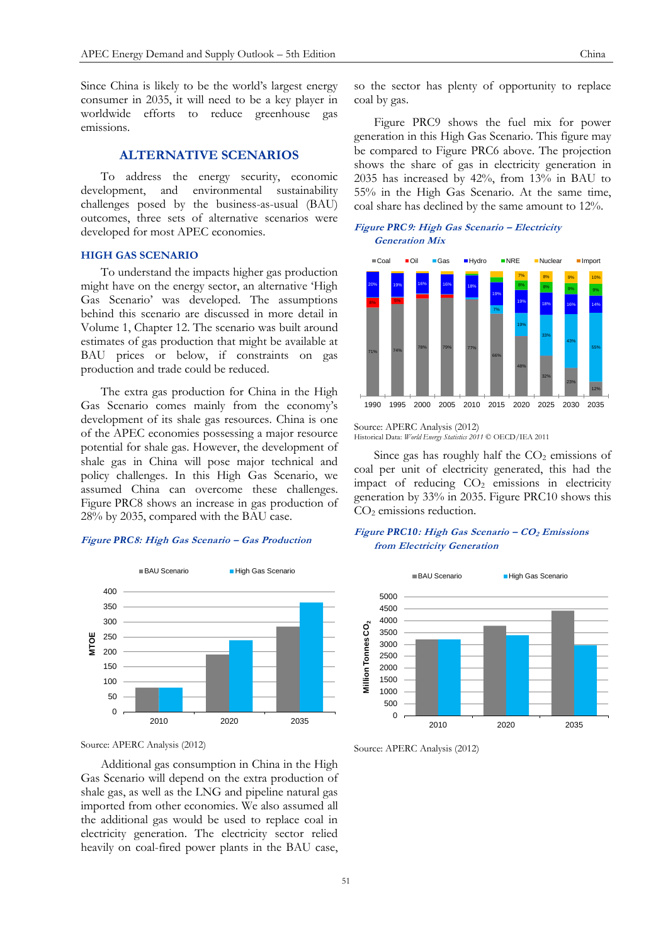Since China is likely to be the world's largest energy consumer in 2035, it will need to be a key player in worldwide efforts to reduce greenhouse gas emissions.

# **ALTERNATIVE SCENARIOS**

To address the energy security, economic development, and environmental sustainability challenges posed by the business-as-usual (BAU) outcomes, three sets of alternative scenarios were developed for most APEC economies.

# **HIGH GAS SCENARIO**

To understand the impacts higher gas production might have on the energy sector, an alternative 'High Gas Scenario' was developed. The assumptions behind this scenario are discussed in more detail in Volume 1, Chapter 12. The scenario was built around estimates of gas production that might be available at BAU prices or below, if constraints on gas production and trade could be reduced.

The extra gas production for China in the High Gas Scenario comes mainly from the economy's development of its shale gas resources. China is one of the APEC economies possessing a major resource potential for shale gas. However, the development of shale gas in China will pose major technical and policy challenges. In this High Gas Scenario, we assumed China can overcome these challenges. Figure PRC8 shows an increase in gas production of 28% by 2035, compared with the BAU case.

#### **Figure** *PRC***8: High Gas Scenario – Gas Production**



Source: APERC Analysis (2012)

Additional gas consumption in China in the High Gas Scenario will depend on the extra production of shale gas, as well as the LNG and pipeline natural gas imported from other economies. We also assumed all the additional gas would be used to replace coal in electricity generation. The electricity sector relied heavily on coal-fired power plants in the BAU case,

so the sector has plenty of opportunity to replace coal by gas.

Figure PRC9 shows the fuel mix for power generation in this High Gas Scenario. This figure may be compared to Figure PRC6 above. The projection shows the share of gas in electricity generation in 2035 has increased by 42%, from 13% in BAU to 55% in the High Gas Scenario. At the same time, coal share has declined by the same amount to 12%.

# **Figure** *PRC***9: High Gas Scenario – Electricity Generation Mix**



#### Source: APERC Analysis (2012) Historical Data: *World Energy Statistics 2011* © OECD/IEA 2011

Since gas has roughly half the  $CO<sub>2</sub>$  emissions of coal per unit of electricity generated, this had the impact of reducing CO<sub>2</sub> emissions in electricity generation by 33% in 2035. Figure PRC10 shows this CO<sup>2</sup> emissions reduction.

# **Figure** *PRC10***: High Gas Scenario – CO<sup>2</sup> Emissions from Electricity Generation**



Source: APERC Analysis (2012)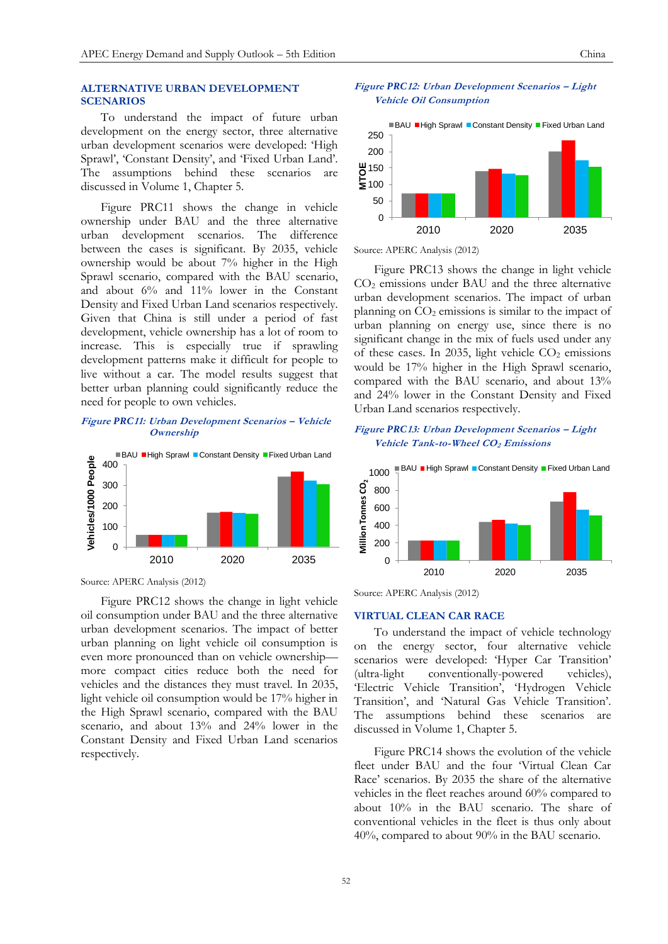To understand the impact of future urban development on the energy sector, three alternative urban development scenarios were developed: 'High Sprawl', 'Constant Density', and 'Fixed Urban Land'. The assumptions behind these scenarios are discussed in Volume 1, Chapter 5.

Figure PRC11 shows the change in vehicle ownership under BAU and the three alternative urban development scenarios. The difference between the cases is significant. By 2035, vehicle ownership would be about 7% higher in the High Sprawl scenario, compared with the BAU scenario, and about 6% and 11% lower in the Constant Density and Fixed Urban Land scenarios respectively. Given that China is still under a period of fast development, vehicle ownership has a lot of room to increase. This is especially true if sprawling development patterns make it difficult for people to live without a car. The model results suggest that better urban planning could significantly reduce the need for people to own vehicles.

# **Figure** *PRC***11: Urban Development Scenarios – Vehicle Ownership**



Source: APERC Analysis (2012)

Figure PRC12 shows the change in light vehicle oil consumption under BAU and the three alternative urban development scenarios. The impact of better urban planning on light vehicle oil consumption is even more pronounced than on vehicle ownership more compact cities reduce both the need for vehicles and the distances they must travel. In 2035, light vehicle oil consumption would be 17% higher in the High Sprawl scenario, compared with the BAU scenario, and about 13% and 24% lower in the Constant Density and Fixed Urban Land scenarios respectively.





Source: APERC Analysis (2012)

Figure PRC13 shows the change in light vehicle CO<sup>2</sup> emissions under BAU and the three alternative urban development scenarios. The impact of urban planning on  $CO<sub>2</sub>$  emissions is similar to the impact of urban planning on energy use, since there is no significant change in the mix of fuels used under any of these cases. In 2035, light vehicle  $CO<sub>2</sub>$  emissions would be 17% higher in the High Sprawl scenario, compared with the BAU scenario, and about 13% and 24% lower in the Constant Density and Fixed Urban Land scenarios respectively.

## **Figure** *PRC***13: Urban Development Scenarios – Light Vehicle Tank-to-Wheel CO2 Emissions**



Source: APERC Analysis (2012)

# **VIRTUAL CLEAN CAR RACE**

To understand the impact of vehicle technology on the energy sector, four alternative vehicle scenarios were developed: 'Hyper Car Transition' (ultra-light conventionally-powered vehicles), 'Electric Vehicle Transition', 'Hydrogen Vehicle Transition', and 'Natural Gas Vehicle Transition'. The assumptions behind these scenarios are discussed in Volume 1, Chapter 5.

Figure PRC14 shows the evolution of the vehicle fleet under BAU and the four 'Virtual Clean Car Race' scenarios. By 2035 the share of the alternative vehicles in the fleet reaches around 60% compared to about 10% in the BAU scenario. The share of conventional vehicles in the fleet is thus only about 40%, compared to about 90% in the BAU scenario.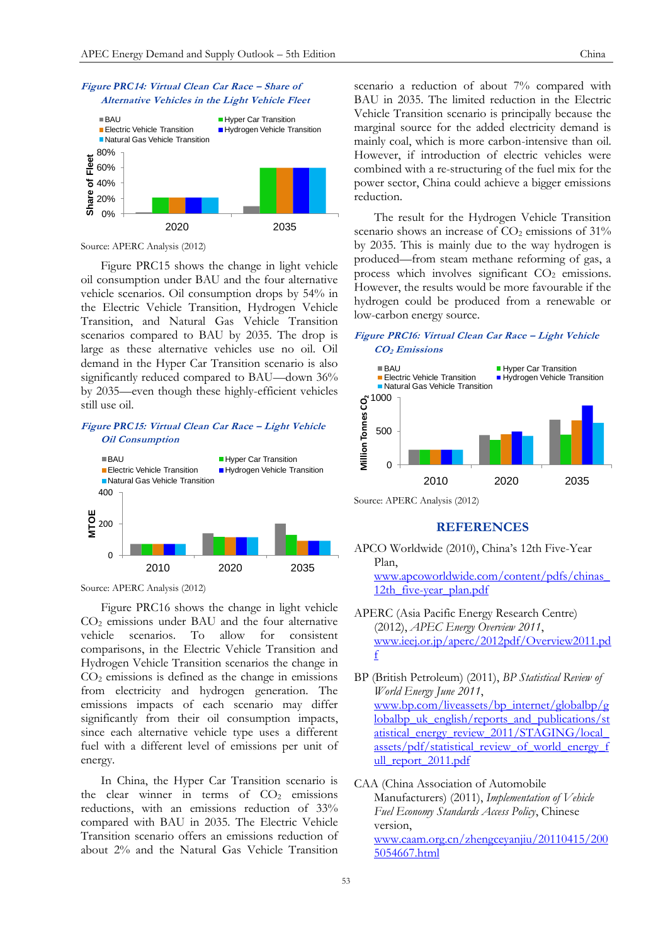

Source: APERC Analysis (2012)

Figure PRC15 shows the change in light vehicle oil consumption under BAU and the four alternative vehicle scenarios. Oil consumption drops by 54% in the Electric Vehicle Transition, Hydrogen Vehicle Transition, and Natural Gas Vehicle Transition scenarios compared to BAU by 2035. The drop is large as these alternative vehicles use no oil. Oil demand in the Hyper Car Transition scenario is also significantly reduced compared to BAU—down 36% by 2035—even though these highly-efficient vehicles still use oil.

# **Figure** *PRC***15: Virtual Clean Car Race – Light Vehicle Oil Consumption**



Source: APERC Analysis (2012)

Figure PRC16 shows the change in light vehicle CO<sup>2</sup> emissions under BAU and the four alternative vehicle scenarios. To allow for consistent comparisons, in the Electric Vehicle Transition and Hydrogen Vehicle Transition scenarios the change in CO<sup>2</sup> emissions is defined as the change in emissions from electricity and hydrogen generation. The emissions impacts of each scenario may differ significantly from their oil consumption impacts, since each alternative vehicle type uses a different fuel with a different level of emissions per unit of energy.

In China, the Hyper Car Transition scenario is the clear winner in terms of  $CO<sub>2</sub>$  emissions reductions, with an emissions reduction of 33% compared with BAU in 2035. The Electric Vehicle Transition scenario offers an emissions reduction of about 2% and the Natural Gas Vehicle Transition

scenario a reduction of about 7% compared with BAU in 2035. The limited reduction in the Electric Vehicle Transition scenario is principally because the marginal source for the added electricity demand is mainly coal, which is more carbon-intensive than oil. However, if introduction of electric vehicles were combined with a re-structuring of the fuel mix for the power sector, China could achieve a bigger emissions reduction.

The result for the Hydrogen Vehicle Transition scenario shows an increase of  $CO<sub>2</sub>$  emissions of  $31\%$ by 2035. This is mainly due to the way hydrogen is produced—from steam methane reforming of gas, a process which involves significant  $CO<sub>2</sub>$  emissions. However, the results would be more favourable if the hydrogen could be produced from a renewable or low-carbon energy source.

# **Figure PRC16: Virtual Clean Car Race – Light Vehicle CO2 Emissions**



Source: APERC Analysis (2012)

# **REFERENCES**

- APCO Worldwide (2010), China's 12th Five-Year Plan, [www.apcoworldwide.com/content/pdfs/chinas\\_](file:///C:/BCY/APERC/Overview%20&%20Compendium/Outlook%20Volume%202/China/www.apcoworldwide.com/content/pdfs/chinas_12th_five-year_plan.pdf) 12th five-year plan.pdf
- APERC (Asia Pacific Energy Research Centre) (2012), *APEC Energy Overview 2011*, [www.ieej.or.jp/aperc/2012pdf/Overview2011.pd](http://www.ieej.or.jp/aperc/2012pdf/Overview2011.pdf) [f](http://www.ieej.or.jp/aperc/2012pdf/Overview2011.pdf)
- BP (British Petroleum) (2011), *BP Statistical Review of World Energy June 2011*, [www.bp.com/liveassets/bp\\_internet/globalbp/g](file:///C:/Documents%20and%20Settings/aishah/Local%20Settings/Temporary%20Internet%20Files/Content.Outlook/JUUSR1FC/www.bp.com/liveassets/bp_internet/globalbp/globalbp_uk_english/reports_and_publications/statistical_energy_review_2011/STAGING/local_assets/pdf/statistical_review_of_world_energy_full_report_2011.pdf) lobalbp uk english/reports and publications/st atistical energy review 2011/STAGING/local [assets/pdf/statistical\\_review\\_of\\_world\\_energy\\_f](file:///C:/Documents%20and%20Settings/aishah/Local%20Settings/Temporary%20Internet%20Files/Content.Outlook/JUUSR1FC/www.bp.com/liveassets/bp_internet/globalbp/globalbp_uk_english/reports_and_publications/statistical_energy_review_2011/STAGING/local_assets/pdf/statistical_review_of_world_energy_full_report_2011.pdf) ull report 2011.pdf
- CAA (China Association of Automobile Manufacturers) (2011), *Implementation of Vehicle Fuel Economy Standards Access Policy*, Chinese version, [www.caam.org.cn/zhengceyanjiu/20110415/200](http://www.caam.org.cn/zhengceyanjiu/20110415/2005054667.html) [5054667.html](http://www.caam.org.cn/zhengceyanjiu/20110415/2005054667.html)